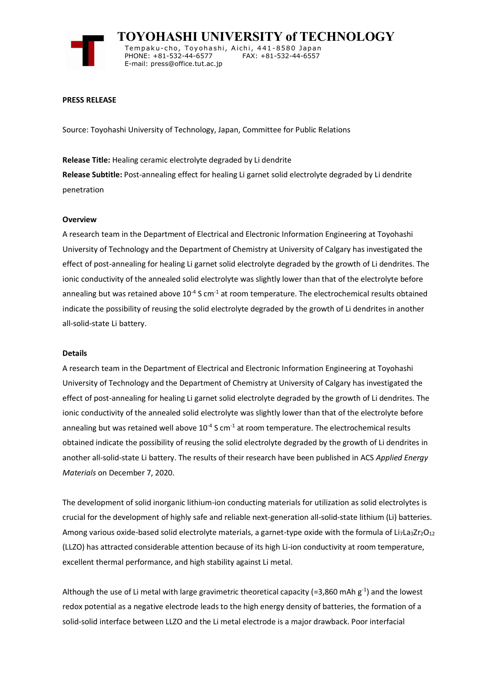

 **TOYOHASHI UNIVERSITY of TECHNOLOGY** Tempaku-cho, Toyohashi, Aichi, 441-8580 Japan<br>PHONE: +81-532-44-6577 FAX: +81-532-44-6557 PHONE: +81-532-44-6577 E-mail: press@office.tut.ac.jp

### **PRESS RELEASE**

Source: Toyohashi University of Technology, Japan, Committee for Public Relations

**Release Title:** Healing ceramic electrolyte degraded by Li dendrite **Release Subtitle:** Post-annealing effect for healing Li garnet solid electrolyte degraded by Li dendrite penetration

### **Overview**

A research team in the Department of Electrical and Electronic Information Engineering at Toyohashi University of Technology and the Department of Chemistry at University of Calgary has investigated the effect of post-annealing for healing Li garnet solid electrolyte degraded by the growth of Li dendrites. The ionic conductivity of the annealed solid electrolyte was slightly lower than that of the electrolyte before annealing but was retained above  $10^{-4}$  S cm<sup>-1</sup> at room temperature. The electrochemical results obtained indicate the possibility of reusing the solid electrolyte degraded by the growth of Li dendrites in another all-solid-state Li battery.

#### **Details**

A research team in the Department of Electrical and Electronic Information Engineering at Toyohashi University of Technology and the Department of Chemistry at University of Calgary has investigated the effect of post-annealing for healing Li garnet solid electrolyte degraded by the growth of Li dendrites. The ionic conductivity of the annealed solid electrolyte was slightly lower than that of the electrolyte before annealing but was retained well above  $10^{-4}$  S cm<sup>-1</sup> at room temperature. The electrochemical results obtained indicate the possibility of reusing the solid electrolyte degraded by the growth of Li dendrites in another all-solid-state Li battery. The results of their research have been published in ACS *Applied Energy Materials* on December 7, 2020.

The development of solid inorganic lithium-ion conducting materials for utilization as solid electrolytes is crucial for the development of highly safe and reliable next-generation all-solid-state lithium (Li) batteries. Among various oxide-based solid electrolyte materials, a garnet-type oxide with the formula of Li<sub>7</sub>La<sub>3</sub>Zr<sub>2</sub>O<sub>12</sub> (LLZO) has attracted considerable attention because of its high Li-ion conductivity at room temperature, excellent thermal performance, and high stability against Li metal.

Although the use of Li metal with large gravimetric theoretical capacity (=3,860 mAh  $g^{-1}$ ) and the lowest redox potential as a negative electrode leads to the high energy density of batteries, the formation of a solid-solid interface between LLZO and the Li metal electrode is a major drawback. Poor interfacial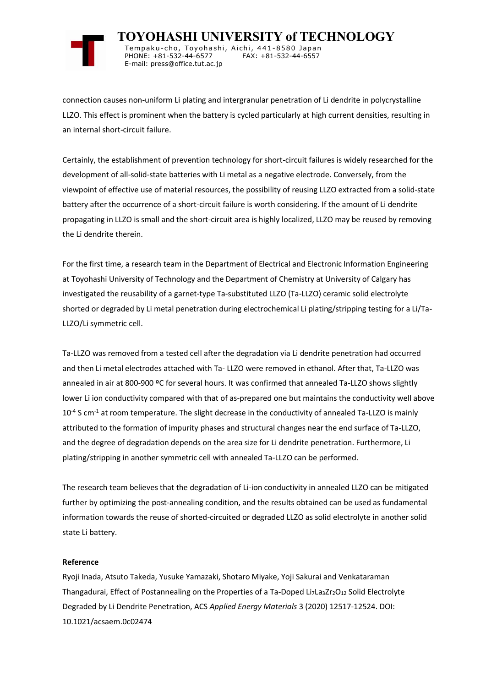

 **TOYOHASHI UNIVERSITY of TECHNOLOGY** Tempaku-cho, Toyohashi, Aichi, 441-8580 Japan<br>PHONE: +81-532-44-6577 FAX: +81-532-44-6557 PHONE: +81-532-44-6577 E-mail: press@office.tut.ac.jp

connection causes non-uniform Li plating and intergranular penetration of Li dendrite in polycrystalline LLZO. This effect is prominent when the battery is cycled particularly at high current densities, resulting in an internal short-circuit failure.

Certainly, the establishment of prevention technology for short-circuit failures is widely researched for the development of all-solid-state batteries with Li metal as a negative electrode. Conversely, from the viewpoint of effective use of material resources, the possibility of reusing LLZO extracted from a solid-state battery after the occurrence of a short-circuit failure is worth considering. If the amount of Li dendrite propagating in LLZO is small and the short-circuit area is highly localized, LLZO may be reused by removing the Li dendrite therein.

For the first time, a research team in the Department of Electrical and Electronic Information Engineering at Toyohashi University of Technology and the Department of Chemistry at University of Calgary has investigated the reusability of a garnet-type Ta-substituted LLZO (Ta-LLZO) ceramic solid electrolyte shorted or degraded by Li metal penetration during electrochemical Li plating/stripping testing for a Li/Ta-LLZO/Li symmetric cell.

Ta-LLZO was removed from a tested cell after the degradation via Li dendrite penetration had occurred and then Li metal electrodes attached with Ta- LLZO were removed in ethanol. After that, Ta-LLZO was annealed in air at 800-900 ºC for several hours. It was confirmed that annealed Ta-LLZO shows slightly lower Li ion conductivity compared with that of as-prepared one but maintains the conductivity well above  $10^{-4}$  S cm<sup>-1</sup> at room temperature. The slight decrease in the conductivity of annealed Ta-LLZO is mainly attributed to the formation of impurity phases and structural changes near the end surface of Ta-LLZO, and the degree of degradation depends on the area size for Li dendrite penetration. Furthermore, Li plating/stripping in another symmetric cell with annealed Ta-LLZO can be performed.

The research team believes that the degradation of Li-ion conductivity in annealed LLZO can be mitigated further by optimizing the post-annealing condition, and the results obtained can be used as fundamental information towards the reuse of shorted-circuited or degraded LLZO as solid electrolyte in another solid state Li battery.

# **Reference**

Ryoji Inada, Atsuto Takeda, Yusuke Yamazaki, Shotaro Miyake, Yoji Sakurai and Venkataraman Thangadurai, Effect of Postannealing on the Properties of a Ta-Doped Li<sub>7</sub>La<sub>3</sub>Zr<sub>2</sub>O<sub>12</sub> Solid Electrolyte Degraded by Li Dendrite Penetration, ACS *Applied Energy Materials* 3 (2020) 12517-12524. DOI: 10.1021/acsaem.0c02474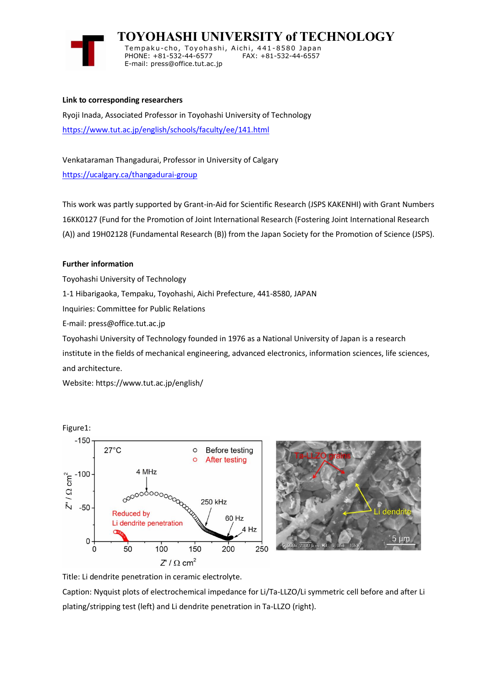

 **TOYOHASHI UNIVERSITY of TECHNOLOGY**

Tempaku-cho, Toyohashi, Aichi, 441-8580 Japan<br>PHONE: +81-532-44-6577 FAX: +81-532-44-6557 PHONE: +81-532-44-6577 E-mail: press@office.tut.ac.jp

# **Link to corresponding researchers**

Ryoji Inada, Associated Professor in Toyohashi University of Technology <https://www.tut.ac.jp/english/schools/faculty/ee/141.html>

Venkataraman Thangadurai, Professor in University of Calgary <https://ucalgary.ca/thangadurai-group>

This work was partly supported by Grant-in-Aid for Scientific Research (JSPS KAKENHI) with Grant Numbers 16KK0127 (Fund for the Promotion of Joint International Research (Fostering Joint International Research (A)) and 19H02128 (Fundamental Research (B)) from the Japan Society for the Promotion of Science (JSPS).

# **Further information**

Toyohashi University of Technology 1-1 Hibarigaoka, Tempaku, Toyohashi, Aichi Prefecture, 441-8580, JAPAN Inquiries: Committee for Public Relations E-mail: press@office.tut.ac.jp Toyohashi University of Technology founded in 1976 as a National University of Japan is a research institute in the fields of mechanical engineering, advanced electronics, information sciences, life sciences,

and architecture.

Website: https://www.tut.ac.jp/english/



Title: Li dendrite penetration in ceramic electrolyte.

Caption: Nyquist plots of electrochemical impedance for Li/Ta-LLZO/Li symmetric cell before and after Li plating/stripping test (left) and Li dendrite penetration in Ta-LLZO (right).